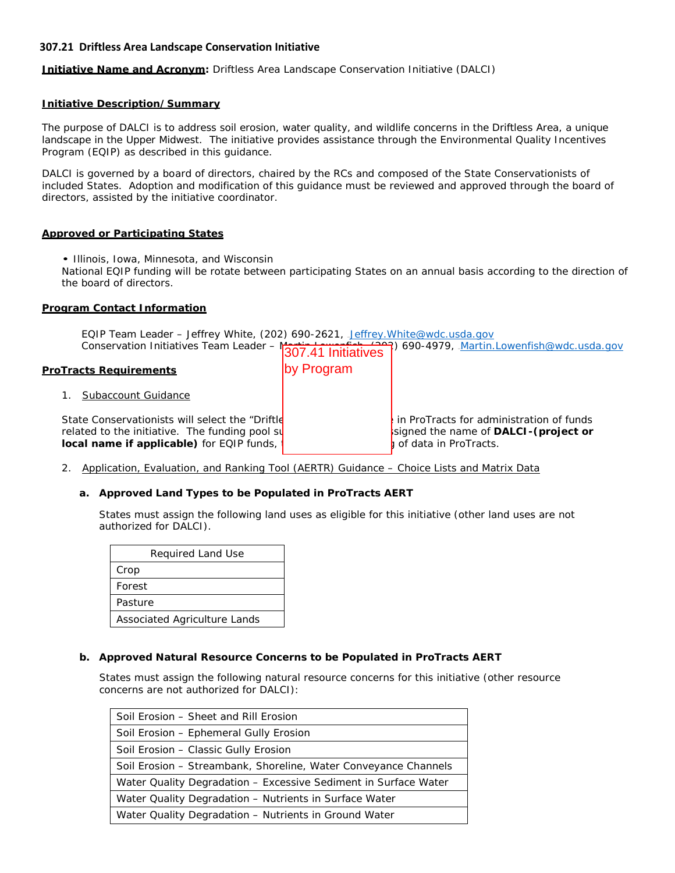**Initiative Name and Acronym:** Driftless Area Landscape Conservation Initiative (DALCI)

#### **Initiative Description/Summary**

The purpose of DALCI is to address soil erosion, water quality, and wildlife concerns in the Driftless Area, a unique landscape in the Upper Midwest. The initiative provides assistance through the Environmental Quality Incentives Program (EQIP) as described in this guidance.

DALCI is governed by a board of directors, chaired by the RCs and composed of the State Conservationists of included States. Adoption and modification of this guidance must be reviewed and approved through the board of directors, assisted by the initiative coordinator.

#### **Approved or Participating States**

• Illinois, Iowa, Minnesota, and Wisconsin

National EQIP funding will be rotate between participating States on an annual basis according to the direction of the board of directors.

#### **Program Contact Information**

EQIP Team Leader - Jeffrey White, (202) 690-2621, [Jeffrey.White@wdc.usda.gov](mailto:Jeffrey.White@wdc.usda.gov)

|                                                                                                                                                 |            | Conservation Initiatives Team Leader - $\frac{1}{307.41}$ Initiatives <sup>2</sup> ) 690-4979, Martin Lowenfish@wdc.usda.gov |
|-------------------------------------------------------------------------------------------------------------------------------------------------|------------|------------------------------------------------------------------------------------------------------------------------------|
| <b>ProTracts Requirements</b>                                                                                                                   | by Program |                                                                                                                              |
| Subaccount Guidance                                                                                                                             |            |                                                                                                                              |
| State Conservationists will select the "Driftle"<br>related to the initiative. The funding pool su<br>local name if applicable) for EQIP funds, |            | in ProTracts for administration of funds<br>signed the name of DALCI-(project or<br>of data in ProTracts.                    |

2. Application, Evaluation, and Ranking Tool (AERTR) Guidance – Choice Lists and Matrix Data

## **a. Approved Land Types to be Populated in ProTracts AERT**

States must assign the following land uses as eligible for this initiative (other land uses are not authorized for DALCI).

| Required Land Use            |
|------------------------------|
| Crop                         |
| Forest                       |
| Pasture                      |
| Associated Agriculture Lands |

## **b. Approved Natural Resource Concerns to be Populated in ProTracts AERT**

States must assign the following natural resource concerns for this initiative (other resource concerns are not authorized for DALCI):

| Soil Erosion - Sheet and Rill Erosion                           |
|-----------------------------------------------------------------|
| Soil Erosion - Ephemeral Gully Erosion                          |
| Soil Erosion - Classic Gully Erosion                            |
| Soil Erosion - Streambank, Shoreline, Water Conveyance Channels |
| Water Quality Degradation - Excessive Sediment in Surface Water |
| Water Quality Degradation - Nutrients in Surface Water          |
| Water Quality Degradation - Nutrients in Ground Water           |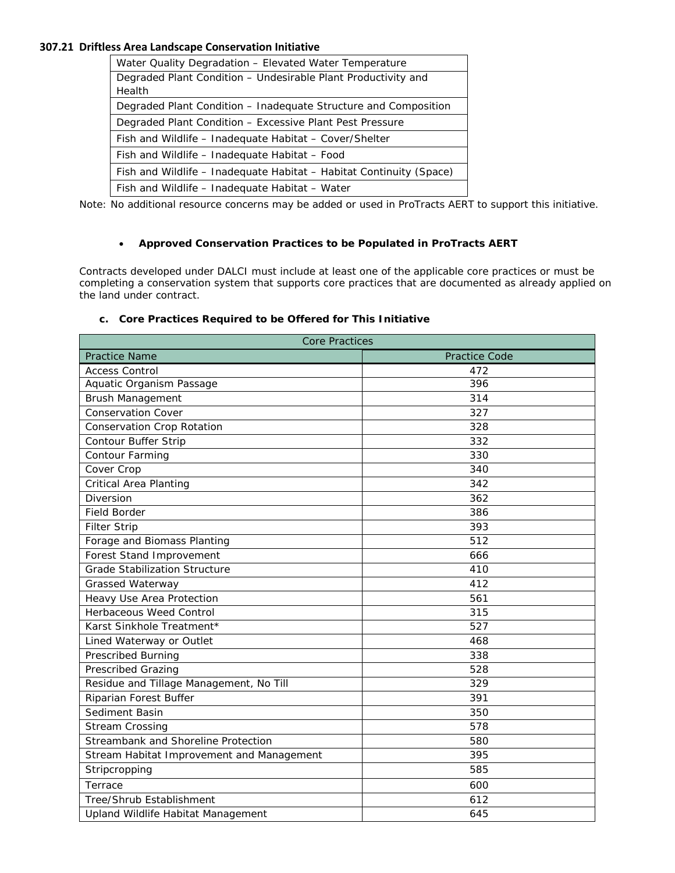| Water Quality Degradation - Elevated Water Temperature              |
|---------------------------------------------------------------------|
| Degraded Plant Condition - Undesirable Plant Productivity and       |
| Health                                                              |
| Degraded Plant Condition – Inadeguate Structure and Composition     |
| Degraded Plant Condition - Excessive Plant Pest Pressure            |
| Fish and Wildlife – Inadequate Habitat – Cover/Shelter              |
| Fish and Wildlife - Inadequate Habitat - Food                       |
| Fish and Wildlife – Inadequate Habitat – Habitat Continuity (Space) |
| Fish and Wildlife - Inadequate Habitat - Water                      |

Note: No additional resource concerns may be added or used in ProTracts AERT to support this initiative.

## • **Approved Conservation Practices to be Populated in ProTracts AERT**

Contracts developed under DALCI must include at least one of the applicable core practices or must be completing a conservation system that supports core practices that are documented as already applied on the land under contract.

## **c. Core Practices Required to be Offered for This Initiative**

| <b>Core Practices</b>                     |                      |  |
|-------------------------------------------|----------------------|--|
| <b>Practice Name</b>                      | <b>Practice Code</b> |  |
| <b>Access Control</b>                     | 472                  |  |
| Aquatic Organism Passage                  | 396                  |  |
| <b>Brush Management</b>                   | 314                  |  |
| <b>Conservation Cover</b>                 | 327                  |  |
| <b>Conservation Crop Rotation</b>         | 328                  |  |
| <b>Contour Buffer Strip</b>               | 332                  |  |
| Contour Farming                           | 330                  |  |
| Cover Crop                                | 340                  |  |
| Critical Area Planting                    | 342                  |  |
| Diversion                                 | 362                  |  |
| <b>Field Border</b>                       | 386                  |  |
| <b>Filter Strip</b>                       | 393                  |  |
| Forage and Biomass Planting               | 512                  |  |
| Forest Stand Improvement                  | 666                  |  |
| <b>Grade Stabilization Structure</b>      | 410                  |  |
| <b>Grassed Waterway</b>                   | 412                  |  |
| Heavy Use Area Protection                 | 561                  |  |
| <b>Herbaceous Weed Control</b>            | 315                  |  |
| Karst Sinkhole Treatment*                 | 527                  |  |
| Lined Waterway or Outlet                  | 468                  |  |
| <b>Prescribed Burning</b>                 | 338                  |  |
| <b>Prescribed Grazing</b>                 | 528                  |  |
| Residue and Tillage Management, No Till   | 329                  |  |
| Riparian Forest Buffer                    | 391                  |  |
| Sediment Basin                            | 350                  |  |
| <b>Stream Crossing</b>                    | 578                  |  |
| Streambank and Shoreline Protection       | 580                  |  |
| Stream Habitat Improvement and Management | 395                  |  |
| Stripcropping                             | 585                  |  |
| Terrace                                   | 600                  |  |
| Tree/Shrub Establishment                  | 612                  |  |
| Upland Wildlife Habitat Management        | 645                  |  |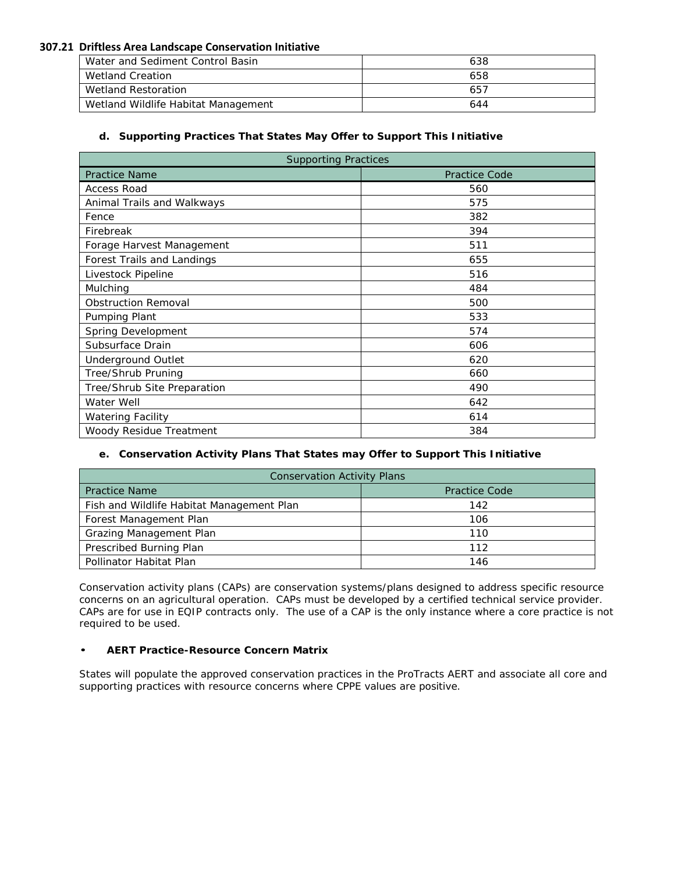| Water and Sediment Control Basin    | 638 |
|-------------------------------------|-----|
| Wetland Creation                    | 658 |
| Wetland Restoration                 | 657 |
| Wetland Wildlife Habitat Management | 644 |

## **d. Supporting Practices That States May Offer to Support This Initiative**

| <b>Supporting Practices</b> |                      |  |
|-----------------------------|----------------------|--|
| <b>Practice Name</b>        | <b>Practice Code</b> |  |
| <b>Access Road</b>          | 560                  |  |
| Animal Trails and Walkways  | 575                  |  |
| Fence                       | 382                  |  |
| Firebreak                   | 394                  |  |
| Forage Harvest Management   | 511                  |  |
| Forest Trails and Landings  | 655                  |  |
| Livestock Pipeline          | 516                  |  |
| Mulching                    | 484                  |  |
| <b>Obstruction Removal</b>  | 500                  |  |
| Pumping Plant               | 533                  |  |
| Spring Development          | 574                  |  |
| Subsurface Drain            | 606                  |  |
| <b>Underground Outlet</b>   | 620                  |  |
| Tree/Shrub Pruning          | 660                  |  |
| Tree/Shrub Site Preparation | 490                  |  |
| Water Well                  | 642                  |  |
| <b>Watering Facility</b>    | 614                  |  |
| Woody Residue Treatment     | 384                  |  |

## **e. Conservation Activity Plans That States may Offer to Support This Initiative**

| <b>Conservation Activity Plans</b>        |                      |  |
|-------------------------------------------|----------------------|--|
| <b>Practice Name</b>                      | <b>Practice Code</b> |  |
| Fish and Wildlife Habitat Management Plan | 142                  |  |
| Forest Management Plan                    | 106                  |  |
| Grazing Management Plan                   | 110                  |  |
| Prescribed Burning Plan                   | 112                  |  |
| Pollinator Habitat Plan                   | 146                  |  |

Conservation activity plans (CAPs) are conservation systems/plans designed to address specific resource concerns on an agricultural operation. CAPs must be developed by a certified technical service provider. CAPs are for use in EQIP contracts only. The use of a CAP is the only instance where a core practice is not required to be used.

## • **AERT Practice-Resource Concern Matrix**

States will populate the approved conservation practices in the ProTracts AERT and associate all core and supporting practices with resource concerns where CPPE values are positive.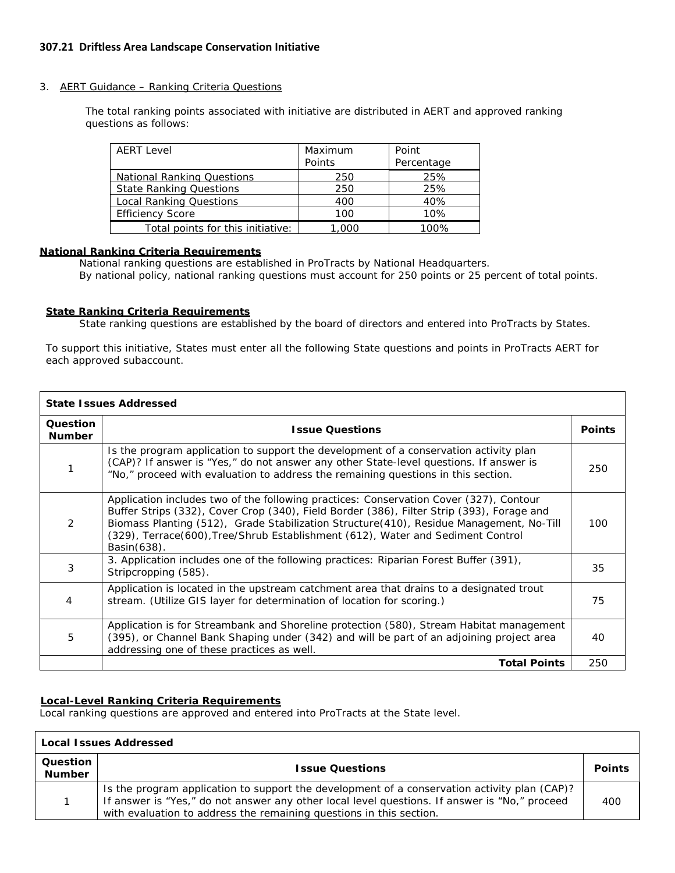#### 3. AERT Guidance – Ranking Criteria Questions

The total ranking points associated with initiative are distributed in AERT and approved ranking questions as follows:

| <b>AERT Level</b>                 | Maximum | Point      |
|-----------------------------------|---------|------------|
|                                   | Points  | Percentage |
| <b>National Ranking Questions</b> | 250     | 25%        |
| <b>State Ranking Questions</b>    | 250     | 25%        |
| <b>Local Ranking Questions</b>    | 400     | 40%        |
| <b>Efficiency Score</b>           | 100     | 10%        |
| Total points for this initiative: | ,000    | 1በበ%       |

## **National Ranking Criteria Requirements**

National ranking questions are established in ProTracts by National Headquarters. By national policy, national ranking questions must account for 250 points or 25 percent of total points.

#### **State Ranking Criteria Requirements**

State ranking questions are established by the board of directors and entered into ProTracts by States.

To support this initiative, States must enter all the following State questions and points in ProTracts AERT for each approved subaccount.

| <b>State Issues Addressed</b> |                                                                                                                                                                                                                                                                                                                                                                                  |               |
|-------------------------------|----------------------------------------------------------------------------------------------------------------------------------------------------------------------------------------------------------------------------------------------------------------------------------------------------------------------------------------------------------------------------------|---------------|
| Question<br><b>Number</b>     | <b>Issue Questions</b>                                                                                                                                                                                                                                                                                                                                                           | <b>Points</b> |
|                               | Is the program application to support the development of a conservation activity plan<br>(CAP)? If answer is "Yes," do not answer any other State-level questions. If answer is<br>"No," proceed with evaluation to address the remaining questions in this section.                                                                                                             | 250           |
| $\mathcal{P}$                 | Application includes two of the following practices: Conservation Cover (327), Contour<br>Buffer Strips (332), Cover Crop (340), Field Border (386), Filter Strip (393), Forage and<br>Biomass Planting (512), Grade Stabilization Structure(410), Residue Management, No-Till<br>(329), Terrace(600), Tree/Shrub Establishment (612), Water and Sediment Control<br>Basin(638). | 100           |
| 3                             | 3. Application includes one of the following practices: Riparian Forest Buffer (391),<br>Stripcropping (585).                                                                                                                                                                                                                                                                    | 35            |
| 4                             | Application is located in the upstream catchment area that drains to a designated trout<br>stream. (Utilize GIS layer for determination of location for scoring.)                                                                                                                                                                                                                | 75            |
| 5                             | Application is for Streambank and Shoreline protection (580), Stream Habitat management<br>(395), or Channel Bank Shaping under (342) and will be part of an adjoining project area<br>addressing one of these practices as well.                                                                                                                                                | 40            |
|                               | <b>Total Points</b>                                                                                                                                                                                                                                                                                                                                                              | 250           |

## <sup>U</sup>**Local-Level Ranking Criteria Requirements**

Local ranking questions are approved and entered into ProTracts at the State level.

| <b>Local Issues Addressed</b> |                                                                                                                                                                                                                                                                      |               |
|-------------------------------|----------------------------------------------------------------------------------------------------------------------------------------------------------------------------------------------------------------------------------------------------------------------|---------------|
| Question  <br><b>Number</b>   | <b>Issue Questions</b>                                                                                                                                                                                                                                               | <b>Points</b> |
|                               | Is the program application to support the development of a conservation activity plan (CAP)?<br>If answer is "Yes," do not answer any other local level questions. If answer is "No," proceed<br>with evaluation to address the remaining questions in this section. | 400           |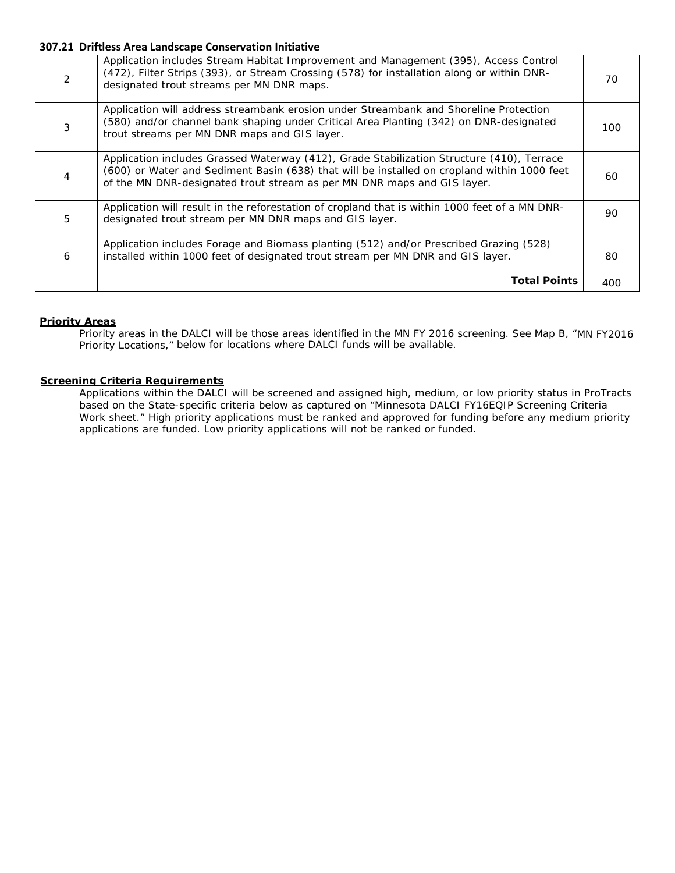| $\mathcal{P}$ | Application includes Stream Habitat Improvement and Management (395), Access Control<br>(472), Filter Strips (393), or Stream Crossing (578) for installation along or within DNR-<br>designated trout streams per MN DNR maps.                                     | 70  |
|---------------|---------------------------------------------------------------------------------------------------------------------------------------------------------------------------------------------------------------------------------------------------------------------|-----|
|               | Application will address streambank erosion under Streambank and Shoreline Protection<br>(580) and/or channel bank shaping under Critical Area Planting (342) on DNR-designated<br>trout streams per MN DNR maps and GIS layer.                                     | 100 |
| 4             | Application includes Grassed Waterway (412), Grade Stabilization Structure (410), Terrace<br>(600) or Water and Sediment Basin (638) that will be installed on cropland within 1000 feet<br>of the MN DNR-designated trout stream as per MN DNR maps and GIS layer. | 60  |
| 5             | Application will result in the reforestation of cropland that is within 1000 feet of a MN DNR-<br>designated trout stream per MN DNR maps and GIS layer.                                                                                                            | 90  |
| 6             | Application includes Forage and Biomass planting (512) and/or Prescribed Grazing (528)<br>installed within 1000 feet of designated trout stream per MN DNR and GIS layer.                                                                                           | 80  |
|               | <b>Total Points</b>                                                                                                                                                                                                                                                 | 400 |

#### **Priority Areas**

Priority areas in the DALCI will be those areas identified in the MN FY 2016 screening. See Map B, "MN FY2016 Priority Locations," below for locations where DALCI funds will be available.

#### **Screening Criteria Requirements**

Applications within the DALCI will be screened and assigned high, medium, or low priority status in ProTracts based on the State-specific criteria below as captured on "Minnesota DALCI FY16EQIP Screening Criteria Work sheet." High priority applications must be ranked and approved for funding before any medium priority applications are funded. Low priority applications will not be ranked or funded.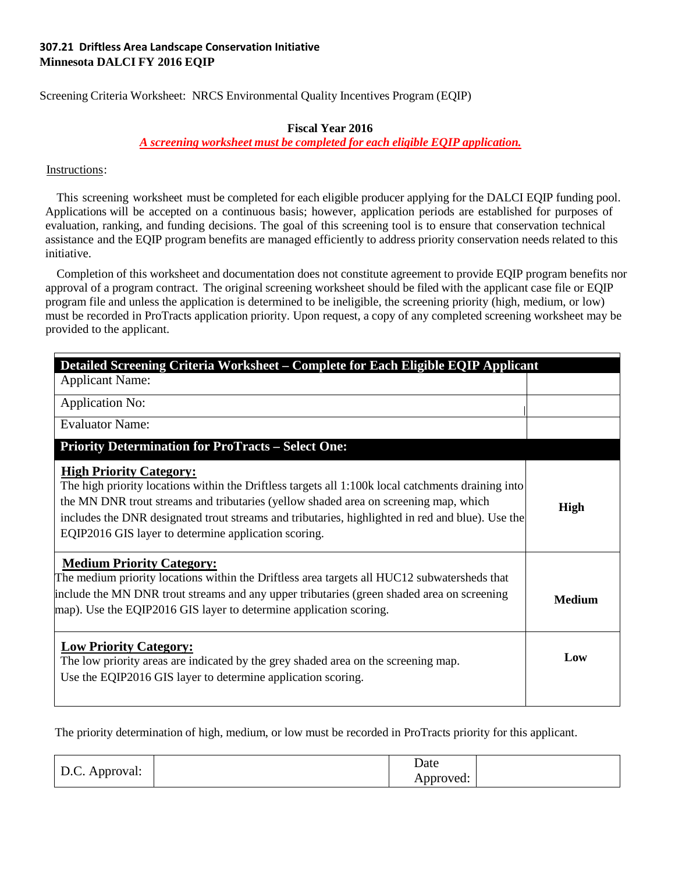# **307.21 Driftless Area Landscape Conservation Initiative Minnesota DALCI FY 2016 EQIP**

Screening Criteria Worksheet: NRCS Environmental Quality Incentives Program (EQIP)

## **Fiscal Year 2016**

## <sup>U</sup>*A screening worksheet must be completed for each eligible EQIP application.*

# Instructions:

This screening worksheet must be completed for each eligible producer applying for the DALCI EQIP funding pool. Applications will be accepted on a continuous basis; however, application periods are established for purposes of evaluation, ranking, and funding decisions. The goal of this screening tool is to ensure that conservation technical assistance and the EQIP program benefits are managed efficiently to address priority conservation needs related to this initiative.

Completion of this worksheet and documentation does not constitute agreement to provide EQIP program benefits nor approval of a program contract. The original screening worksheet should be filed with the applicant case file or EQIP program file and unless the application is determined to be ineligible, the screening priority (high, medium, or low) must be recorded in ProTracts application priority. Upon request, a copy of any completed screening worksheet may be provided to the applicant.

| Detailed Screening Criteria Worksheet – Complete for Each Eligible EQIP Applicant                                                                                                                                                                                                                                                                                                        |               |
|------------------------------------------------------------------------------------------------------------------------------------------------------------------------------------------------------------------------------------------------------------------------------------------------------------------------------------------------------------------------------------------|---------------|
| <b>Applicant Name:</b>                                                                                                                                                                                                                                                                                                                                                                   |               |
| <b>Application No:</b>                                                                                                                                                                                                                                                                                                                                                                   |               |
| <b>Evaluator Name:</b>                                                                                                                                                                                                                                                                                                                                                                   |               |
| <b>Priority Determination for ProTracts – Select One:</b>                                                                                                                                                                                                                                                                                                                                |               |
| <b>High Priority Category:</b><br>The high priority locations within the Driftless targets all 1:100k local catchments draining into<br>the MN DNR trout streams and tributaries (yellow shaded area on screening map, which<br>includes the DNR designated trout streams and tributaries, highlighted in red and blue). Use the<br>EQIP2016 GIS layer to determine application scoring. | High          |
| <b>Medium Priority Category:</b><br>The medium priority locations within the Driftless area targets all HUC12 subwatersheds that<br>include the MN DNR trout streams and any upper tributaries (green shaded area on screening<br>map). Use the EQIP2016 GIS layer to determine application scoring.                                                                                     | <b>Medium</b> |
| <b>Low Priority Category:</b><br>The low priority areas are indicated by the grey shaded area on the screening map.<br>Use the EQIP2016 GIS layer to determine application scoring.                                                                                                                                                                                                      | Low           |

The priority determination of high, medium, or low must be recorded in ProTracts priority for this applicant.

| $\Gamma$<br>$\vert$ D.C. Approval: | Date      |  |
|------------------------------------|-----------|--|
|                                    | Approved: |  |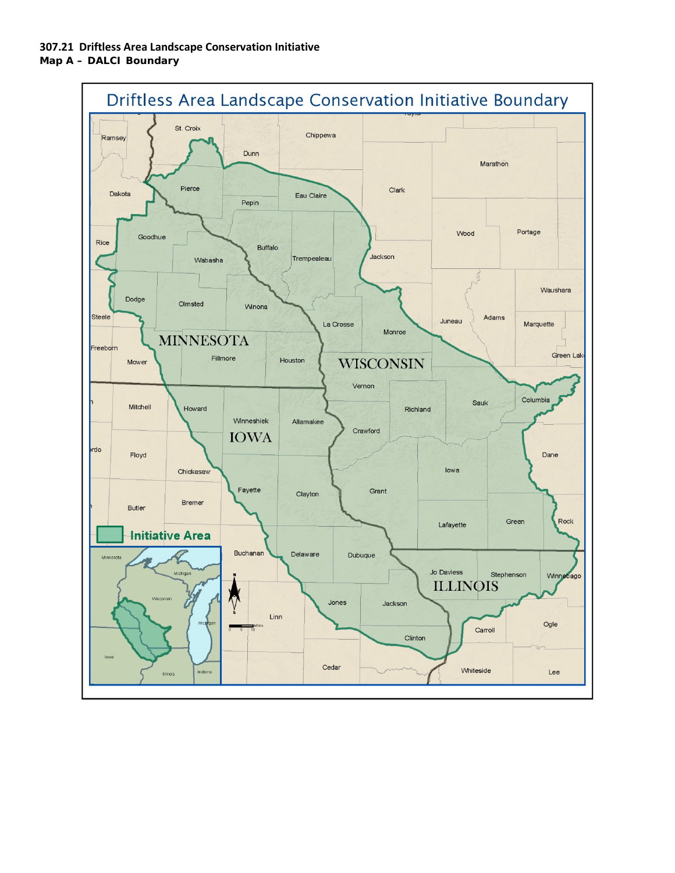